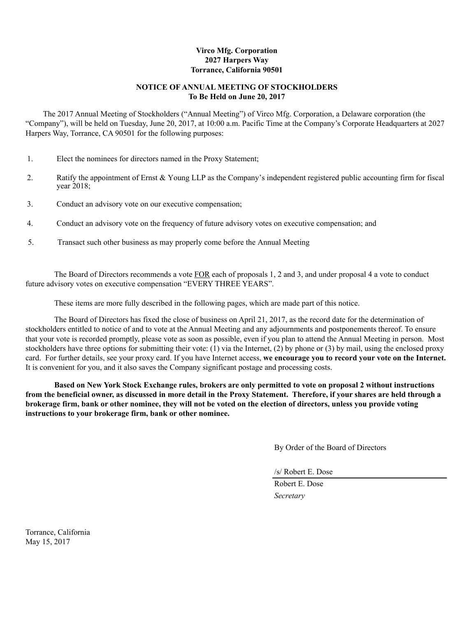# **Virco Mfg. Corporation 2027 Harpers Way Torrance, California 90501**

# **NOTICE OF ANNUAL MEETING OF STOCKHOLDERS To Be Held on June 20, 2017**

The 2017 Annual Meeting of Stockholders ("Annual Meeting") of Virco Mfg. Corporation, a Delaware corporation (the "Company"), will be held on Tuesday, June 20, 2017, at 10:00 a.m. Pacific Time at the Company's Corporate Headquarters at 2027 Harpers Way, Torrance, CA 90501 for the following purposes:

- 1. Elect the nominees for directors named in the Proxy Statement;
- 2. Ratify the appointment of Ernst & Young LLP as the Company's independent registered public accounting firm for fiscal year 2018;
- 3. Conduct an advisory vote on our executive compensation;
- 4. Conduct an advisory vote on the frequency of future advisory votes on executive compensation; and
- 5. Transact such other business as may properly come before the Annual Meeting

The Board of Directors recommends a vote FOR each of proposals 1, 2 and 3, and under proposal 4 a vote to conduct future advisory votes on executive compensation "EVERY THREE YEARS".

These items are more fully described in the following pages, which are made part of this notice.

The Board of Directors has fixed the close of business on April 21, 2017, as the record date for the determination of stockholders entitled to notice of and to vote at the Annual Meeting and any adjournments and postponements thereof. To ensure that your vote is recorded promptly, please vote as soon as possible, even if you plan to attend the Annual Meeting in person. Most stockholders have three options for submitting their vote: (1) via the Internet, (2) by phone or (3) by mail, using the enclosed proxy card. For further details, see your proxy card. If you have Internet access, **we encourage you to record your vote on the Internet.** It is convenient for you, and it also saves the Company significant postage and processing costs.

**Based on New York Stock Exchange rules, brokers are only permitted to vote on proposal 2 without instructions from the beneficial owner, as discussed in more detail in the Proxy Statement. Therefore, if your shares are held through a brokerage firm, bank or other nominee, they will not be voted on the election of directors, unless you provide voting instructions to your brokerage firm, bank or other nominee.**

By Order of the Board of Directors

/s/ Robert E. Dose

Robert E. Dose *Secretary*

Torrance, California May 15, 2017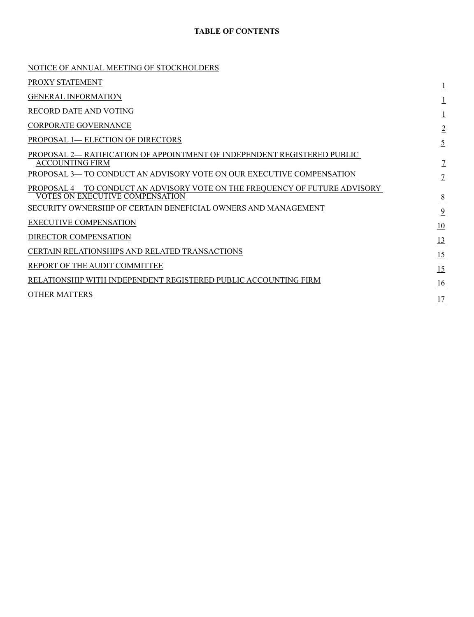# **TABLE OF CONTENTS**

| NOTICE OF ANNUAL MEETING OF STOCKHOLDERS                                                                       |                  |
|----------------------------------------------------------------------------------------------------------------|------------------|
| PROXY STATEMENT                                                                                                |                  |
| <b>GENERAL INFORMATION</b>                                                                                     |                  |
| RECORD DATE AND VOTING                                                                                         |                  |
| <b>CORPORATE GOVERNANCE</b>                                                                                    | $\overline{2}$   |
| PROPOSAL 1-ELECTION OF DIRECTORS                                                                               | $\overline{5}$   |
| PROPOSAL 2— RATIFICATION OF APPOINTMENT OF INDEPENDENT REGISTERED PUBLIC<br><b>ACCOUNTING FIRM</b>             | $\mathcal{I}$    |
| PROPOSAL 3- TO CONDUCT AN ADVISORY VOTE ON OUR EXECUTIVE COMPENSATION                                          | $\overline{1}$   |
| PROPOSAL 4— TO CONDUCT AN ADVISORY VOTE ON THE FREQUENCY OF FUTURE ADVISORY<br>VOTES ON EXECUTIVE COMPENSATION | $\underline{8}$  |
| SECURITY OWNERSHIP OF CERTAIN BENEFICIAL OWNERS AND MANAGEMENT                                                 | $\overline{9}$   |
| <b>EXECUTIVE COMPENSATION</b>                                                                                  | 10               |
| DIRECTOR COMPENSATION                                                                                          | 13               |
| CERTAIN RELATIONSHIPS AND RELATED TRANSACTIONS                                                                 | 15               |
| REPORT OF THE AUDIT COMMITTEE                                                                                  | 15               |
| RELATIONSHIP WITH INDEPENDENT REGISTERED PUBLIC ACCOUNTING FIRM                                                | $\underline{16}$ |
| <b>OTHER MATTERS</b>                                                                                           | 17               |
|                                                                                                                |                  |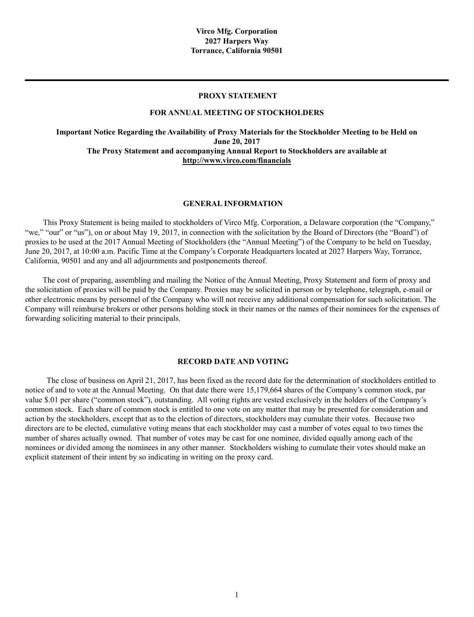### **PROXY STATEMENT**

#### **FOR ANNUAL MEETING OF STOCKHOLDERS**

**Important Notice Regarding the Availability of Proxy Materials for the Stockholder Meeting to be Held on June 20, 2017 The Proxy Statement and accompanying Annual Report to Stockholders are available at http://www.virco.com/financials**

### **GENERAL INFORMATION**

This Proxy Statement is being mailed to stockholders of Virco Mfg. Corporation, a Delaware corporation (the "Company," "we," "our" or "us"), on or about May 19, 2017, in connection with the solicitation by the Board of Directors (the "Board") of proxies to be used at the 2017 Annual Meeting of Stockholders (the "Annual Meeting") of the Company to be held on Tuesday, June 20, 2017, at 10:00 a.m. Pacific Time at the Company's Corporate Headquarters located at 2027 Harpers Way, Torrance, California, 90501 and any and all adjournments and postponements thereof.

The cost of preparing, assembling and mailing the Notice of the Annual Meeting, Proxy Statement and form of proxy and the solicitation of proxies will be paid by the Company. Proxies may be solicited in person or by telephone, telegraph, e-mail or other electronic means by personnel of the Company who will not receive any additional compensation for such solicitation. The Company will reimburse brokers or other persons holding stock in their names or the names of their nominees for the expenses of forwarding soliciting material to their principals.

#### **RECORD DATE AND VOTING**

The close of business on April 21, 2017, has been fixed as the record date for the determination of stockholders entitled to notice of and to vote at the Annual Meeting. On that date there were 15,179,664 shares of the Company's common stock, par value \$.01 per share ("common stock"), outstanding. All voting rights are vested exclusively in the holders of the Company's common stock. Each share of common stock is entitled to one vote on any matter that may be presented for consideration and action by the stockholders, except that as to the election of directors, stockholders may cumulate their votes. Because two directors are to be elected, cumulative voting means that each stockholder may cast a number of votes equal to two times the number of shares actually owned. That number of votes may be cast for one nominee, divided equally among each of the nominees or divided among the nominees in any other manner. Stockholders wishing to cumulate their votes should make an explicit statement of their intent by so indicating in writing on the proxy card.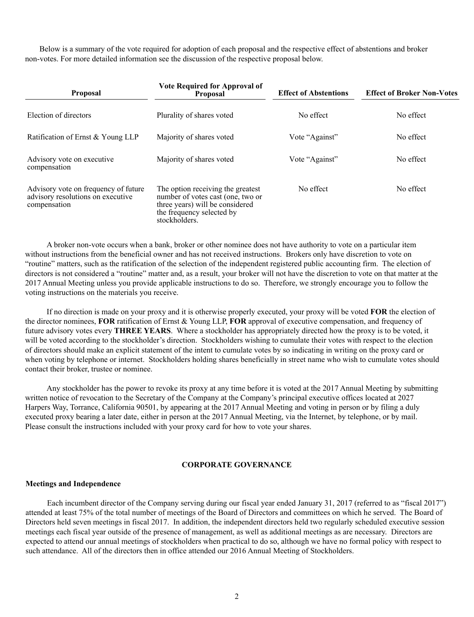Below is a summary of the vote required for adoption of each proposal and the respective effect of abstentions and broker non-votes. For more detailed information see the discussion of the respective proposal below.

| <b>Proposal</b>                                                                           | <b>Vote Required for Approval of</b><br>Proposal                                                                                                        | <b>Effect of Abstentions</b> | <b>Effect of Broker Non-Votes</b> |
|-------------------------------------------------------------------------------------------|---------------------------------------------------------------------------------------------------------------------------------------------------------|------------------------------|-----------------------------------|
| Election of directors                                                                     | Plurality of shares voted                                                                                                                               | No effect                    | No effect                         |
| Ratification of Ernst & Young LLP                                                         | Majority of shares voted                                                                                                                                | Vote "Against"               | No effect                         |
| Advisory vote on executive.<br>compensation                                               | Majority of shares voted                                                                                                                                | Vote "Against"               | No effect                         |
| Advisory vote on frequency of future<br>advisory resolutions on executive<br>compensation | The option receiving the greatest<br>number of votes cast (one, two or<br>three years) will be considered<br>the frequency selected by<br>stockholders. | No effect                    | No effect                         |

A broker non-vote occurs when a bank, broker or other nominee does not have authority to vote on a particular item without instructions from the beneficial owner and has not received instructions. Brokers only have discretion to vote on "routine" matters, such as the ratification of the selection of the independent registered public accounting firm. The election of directors is not considered a "routine" matter and, as a result, your broker will not have the discretion to vote on that matter at the 2017 Annual Meeting unless you provide applicable instructions to do so. Therefore, we strongly encourage you to follow the voting instructions on the materials you receive.

If no direction is made on your proxy and it is otherwise properly executed, your proxy will be voted **FOR** the election of the director nominees, **FOR** ratification of Ernst & Young LLP, **FOR** approval of executive compensation, and frequency of future advisory votes every **THREE YEARS**. Where a stockholder has appropriately directed how the proxy is to be voted, it will be voted according to the stockholder's direction. Stockholders wishing to cumulate their votes with respect to the election of directors should make an explicit statement of the intent to cumulate votes by so indicating in writing on the proxy card or when voting by telephone or internet. Stockholders holding shares beneficially in street name who wish to cumulate votes should contact their broker, trustee or nominee.

Any stockholder has the power to revoke its proxy at any time before it is voted at the 2017 Annual Meeting by submitting written notice of revocation to the Secretary of the Company at the Company's principal executive offices located at 2027 Harpers Way, Torrance, California 90501, by appearing at the 2017 Annual Meeting and voting in person or by filing a duly executed proxy bearing a later date, either in person at the 2017 Annual Meeting, via the Internet, by telephone, or by mail. Please consult the instructions included with your proxy card for how to vote your shares.

### **CORPORATE GOVERNANCE**

#### **Meetings and Independence**

Each incumbent director of the Company serving during our fiscal year ended January 31, 2017 (referred to as "fiscal 2017") attended at least 75% of the total number of meetings of the Board of Directors and committees on which he served. The Board of Directors held seven meetings in fiscal 2017. In addition, the independent directors held two regularly scheduled executive session meetings each fiscal year outside of the presence of management, as well as additional meetings as are necessary. Directors are expected to attend our annual meetings of stockholders when practical to do so, although we have no formal policy with respect to such attendance. All of the directors then in office attended our 2016 Annual Meeting of Stockholders.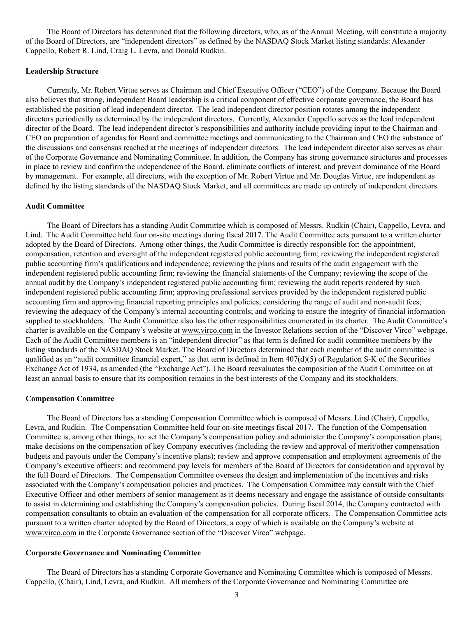The Board of Directors has determined that the following directors, who, as of the Annual Meeting, will constitute a majority of the Board of Directors, are "independent directors" as defined by the NASDAQ Stock Market listing standards: Alexander Cappello, Robert R. Lind, Craig L. Levra, and Donald Rudkin.

### **Leadership Structure**

Currently, Mr. Robert Virtue serves as Chairman and Chief Executive Officer ("CEO") of the Company. Because the Board also believes that strong, independent Board leadership is a critical component of effective corporate governance, the Board has established the position of lead independent director. The lead independent director position rotates among the independent directors periodically as determined by the independent directors. Currently, Alexander Cappello serves as the lead independent director of the Board. The lead independent director's responsibilities and authority include providing input to the Chairman and CEO on preparation of agendas for Board and committee meetings and communicating to the Chairman and CEO the substance of the discussions and consensus reached at the meetings of independent directors. The lead independent director also serves as chair of the Corporate Governance and Nominating Committee. In addition, the Company has strong governance structures and processes in place to review and confirm the independence of the Board, eliminate conflicts of interest, and prevent dominance of the Board by management. For example, all directors, with the exception of Mr. Robert Virtue and Mr. Douglas Virtue, are independent as defined by the listing standards of the NASDAQ Stock Market, and all committees are made up entirely of independent directors.

### **Audit Committee**

The Board of Directors has a standing Audit Committee which is composed of Messrs. Rudkin (Chair), Cappello, Levra, and Lind. The Audit Committee held four on-site meetings during fiscal 2017. The Audit Committee acts pursuant to a written charter adopted by the Board of Directors. Among other things, the Audit Committee is directly responsible for: the appointment, compensation, retention and oversight of the independent registered public accounting firm; reviewing the independent registered public accounting firm's qualifications and independence; reviewing the plans and results of the audit engagement with the independent registered public accounting firm; reviewing the financial statements of the Company; reviewing the scope of the annual audit by the Company's independent registered public accounting firm; reviewing the audit reports rendered by such independent registered public accounting firm; approving professional services provided by the independent registered public accounting firm and approving financial reporting principles and policies; considering the range of audit and non-audit fees; reviewing the adequacy of the Company's internal accounting controls; and working to ensure the integrity of financial information supplied to stockholders. The Audit Committee also has the other responsibilities enumerated in its charter. The Audit Committee's charter is available on the Company's website at www.virco.com in the Investor Relations section of the "Discover Virco" webpage. Each of the Audit Committee members is an "independent director" as that term is defined for audit committee members by the listing standards of the NASDAQ Stock Market. The Board of Directors determined that each member of the audit committee is qualified as an "audit committee financial expert," as that term is defined in Item  $407(d)(5)$  of Regulation S-K of the Securities Exchange Act of 1934, as amended (the "Exchange Act"). The Board reevaluates the composition of the Audit Committee on at least an annual basis to ensure that its composition remains in the best interests of the Company and its stockholders.

#### **Compensation Committee**

The Board of Directors has a standing Compensation Committee which is composed of Messrs. Lind (Chair), Cappello, Levra, and Rudkin. The Compensation Committee held four on-site meetings fiscal 2017. The function of the Compensation Committee is, among other things, to: set the Company's compensation policy and administer the Company's compensation plans; make decisions on the compensation of key Company executives (including the review and approval of merit/other compensation budgets and payouts under the Company's incentive plans); review and approve compensation and employment agreements of the Company's executive officers; and recommend pay levels for members of the Board of Directors for consideration and approval by the full Board of Directors. The Compensation Committee oversees the design and implementation of the incentives and risks associated with the Company's compensation policies and practices. The Compensation Committee may consult with the Chief Executive Officer and other members of senior management as it deems necessary and engage the assistance of outside consultants to assist in determining and establishing the Company's compensation policies. During fiscal 2014, the Company contracted with compensation consultants to obtain an evaluation of the compensation for all corporate officers. The Compensation Committee acts pursuant to a written charter adopted by the Board of Directors, a copy of which is available on the Company's website at www.virco.com in the Corporate Governance section of the "Discover Virco" webpage.

#### **Corporate Governance and Nominating Committee**

The Board of Directors has a standing Corporate Governance and Nominating Committee which is composed of Messrs. Cappello, (Chair), Lind, Levra, and Rudkin. All members of the Corporate Governance and Nominating Committee are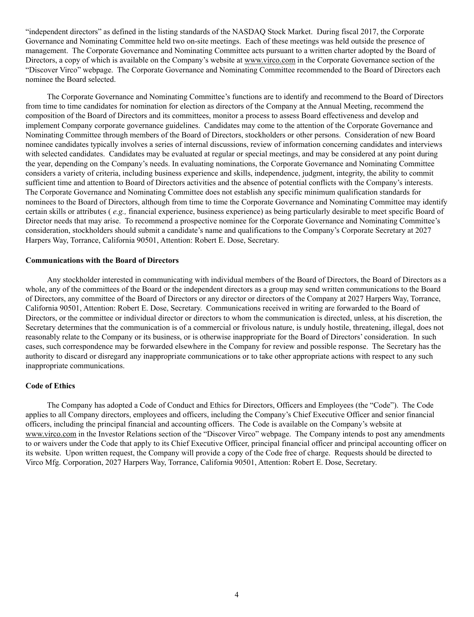"independent directors" as defined in the listing standards of the NASDAQ Stock Market. During fiscal 2017, the Corporate Governance and Nominating Committee held two on-site meetings. Each of these meetings was held outside the presence of management. The Corporate Governance and Nominating Committee acts pursuant to a written charter adopted by the Board of Directors, a copy of which is available on the Company's website at www.virco.com in the Corporate Governance section of the "Discover Virco" webpage. The Corporate Governance and Nominating Committee recommended to the Board of Directors each nominee the Board selected.

The Corporate Governance and Nominating Committee's functions are to identify and recommend to the Board of Directors from time to time candidates for nomination for election as directors of the Company at the Annual Meeting, recommend the composition of the Board of Directors and its committees, monitor a process to assess Board effectiveness and develop and implement Company corporate governance guidelines. Candidates may come to the attention of the Corporate Governance and Nominating Committee through members of the Board of Directors, stockholders or other persons. Consideration of new Board nominee candidates typically involves a series of internal discussions, review of information concerning candidates and interviews with selected candidates. Candidates may be evaluated at regular or special meetings, and may be considered at any point during the year, depending on the Company's needs. In evaluating nominations, the Corporate Governance and Nominating Committee considers a variety of criteria, including business experience and skills, independence, judgment, integrity, the ability to commit sufficient time and attention to Board of Directors activities and the absence of potential conflicts with the Company's interests. The Corporate Governance and Nominating Committee does not establish any specific minimum qualification standards for nominees to the Board of Directors, although from time to time the Corporate Governance and Nominating Committee may identify certain skills or attributes ( *e.g.,* financial experience, business experience) as being particularly desirable to meet specific Board of Director needs that may arise. To recommend a prospective nominee for the Corporate Governance and Nominating Committee's consideration, stockholders should submit a candidate's name and qualifications to the Company's Corporate Secretary at 2027 Harpers Way, Torrance, California 90501, Attention: Robert E. Dose, Secretary.

### **Communications with the Board of Directors**

Any stockholder interested in communicating with individual members of the Board of Directors, the Board of Directors as a whole, any of the committees of the Board or the independent directors as a group may send written communications to the Board of Directors, any committee of the Board of Directors or any director or directors of the Company at 2027 Harpers Way, Torrance, California 90501, Attention: Robert E. Dose, Secretary. Communications received in writing are forwarded to the Board of Directors, or the committee or individual director or directors to whom the communication is directed, unless, at his discretion, the Secretary determines that the communication is of a commercial or frivolous nature, is unduly hostile, threatening, illegal, does not reasonably relate to the Company or its business, or is otherwise inappropriate for the Board of Directors' consideration. In such cases, such correspondence may be forwarded elsewhere in the Company for review and possible response. The Secretary has the authority to discard or disregard any inappropriate communications or to take other appropriate actions with respect to any such inappropriate communications.

### **Code of Ethics**

The Company has adopted a Code of Conduct and Ethics for Directors, Officers and Employees (the "Code"). The Code applies to all Company directors, employees and officers, including the Company's Chief Executive Officer and senior financial officers, including the principal financial and accounting officers. The Code is available on the Company's website at www.virco.com in the Investor Relations section of the "Discover Virco" webpage. The Company intends to post any amendments to or waivers under the Code that apply to its Chief Executive Officer, principal financial officer and principal accounting officer on its website. Upon written request, the Company will provide a copy of the Code free of charge. Requests should be directed to Virco Mfg. Corporation, 2027 Harpers Way, Torrance, California 90501, Attention: Robert E. Dose, Secretary.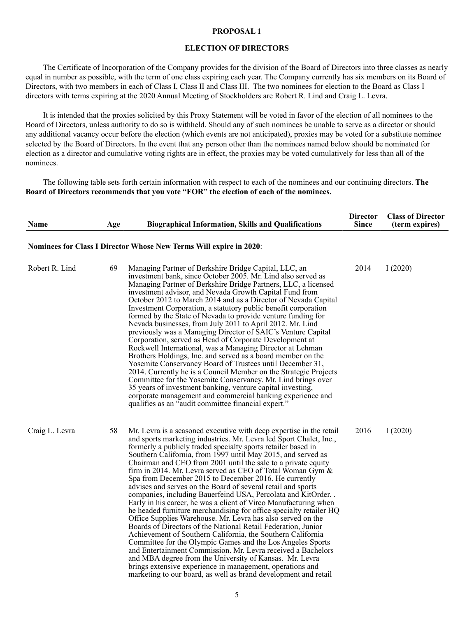#### **PROPOSAL 1**

### **ELECTION OF DIRECTORS**

The Certificate of Incorporation of the Company provides for the division of the Board of Directors into three classes as nearly equal in number as possible, with the term of one class expiring each year. The Company currently has six members on its Board of Directors, with two members in each of Class I, Class II and Class III. The two nominees for election to the Board as Class I directors with terms expiring at the 2020 Annual Meeting of Stockholders are Robert R. Lind and Craig L. Levra.

It is intended that the proxies solicited by this Proxy Statement will be voted in favor of the election of all nominees to the Board of Directors, unless authority to do so is withheld. Should any of such nominees be unable to serve as a director or should any additional vacancy occur before the election (which events are not anticipated), proxies may be voted for a substitute nominee selected by the Board of Directors. In the event that any person other than the nominees named below should be nominated for election as a director and cumulative voting rights are in effect, the proxies may be voted cumulatively for less than all of the nominees.

The following table sets forth certain information with respect to each of the nominees and our continuing directors. **The Board of Directors recommends that you vote "FOR" the election of each of the nominees.**

| <b>Name</b>    | Age | <b>Biographical Information, Skills and Qualifications</b>                                                                                                                                                                                                                                                                                                                                                                                                                                                                                                                                                                                                                                                                                                                                                                                                                                                                                                                                                                                                                                                                                                                                                                                                             | <b>Director</b><br><b>Since</b> | <b>Class of Director</b><br>(term expires) |
|----------------|-----|------------------------------------------------------------------------------------------------------------------------------------------------------------------------------------------------------------------------------------------------------------------------------------------------------------------------------------------------------------------------------------------------------------------------------------------------------------------------------------------------------------------------------------------------------------------------------------------------------------------------------------------------------------------------------------------------------------------------------------------------------------------------------------------------------------------------------------------------------------------------------------------------------------------------------------------------------------------------------------------------------------------------------------------------------------------------------------------------------------------------------------------------------------------------------------------------------------------------------------------------------------------------|---------------------------------|--------------------------------------------|
|                |     | Nominees for Class I Director Whose New Terms Will expire in 2020:                                                                                                                                                                                                                                                                                                                                                                                                                                                                                                                                                                                                                                                                                                                                                                                                                                                                                                                                                                                                                                                                                                                                                                                                     |                                 |                                            |
| Robert R. Lind | 69  | Managing Partner of Berkshire Bridge Capital, LLC, an<br>investment bank, since October 2005. Mr. Lind also served as<br>Managing Partner of Berkshire Bridge Partners, LLC, a licensed<br>investment advisor, and Nevada Growth Capital Fund from<br>October 2012 to March 2014 and as a Director of Nevada Capital<br>Investment Corporation, a statutory public benefit corporation<br>formed by the State of Nevada to provide venture funding for<br>Nevada businesses, from July 2011 to April 2012. Mr. Lind<br>previously was a Managing Director of SAIC's Venture Capital<br>Corporation, served as Head of Corporate Development at<br>Rockwell International, was a Managing Director at Lehman<br>Brothers Holdings, Inc. and served as a board member on the<br>Yosemite Conservancy Board of Trustees until December 31,<br>2014. Currently he is a Council Member on the Strategic Projects<br>Committee for the Yosemite Conservancy. Mr. Lind brings over<br>35 years of investment banking, venture capital investing,<br>corporate management and commercial banking experience and<br>qualifies as an "audit committee financial expert."                                                                                                         | 2014                            | I(2020)                                    |
| Craig L. Levra | 58  | Mr. Levra is a seasoned executive with deep expertise in the retail<br>and sports marketing industries. Mr. Levra led Sport Chalet, Inc.,<br>formerly a publicly traded specialty sports retailer based in<br>Southern California, from 1997 until May 2015, and served as<br>Chairman and CEO from 2001 until the sale to a private equity<br>firm in 2014. Mr. Levra served as CEO of Total Woman Gym &<br>Spa from December 2015 to December 2016. He currently<br>advises and serves on the Board of several retail and sports<br>companies, including Bauerfeind USA, Percolata and KitOrder. .<br>Early in his career, he was a client of Virco Manufacturing when<br>he headed furniture merchandising for office specialty retailer HQ<br>Office Supplies Warehouse. Mr. Levra has also served on the<br>Boards of Directors of the National Retail Federation, Junior<br>Achievement of Southern California, the Southern California<br>Committee for the Olympic Games and the Los Angeles Sports<br>and Entertainment Commission. Mr. Levra received a Bachelors<br>and MBA degree from the University of Kansas. Mr. Levra<br>brings extensive experience in management, operations and<br>marketing to our board, as well as brand development and retail | 2016                            | I(2020)                                    |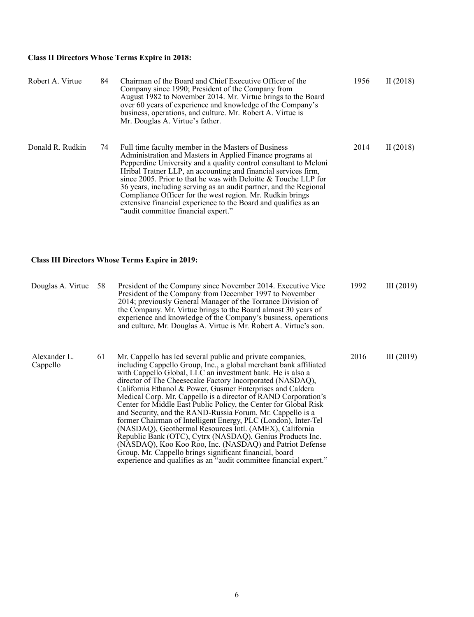# **Class II Directors Whose Terms Expire in 2018:**

| Robert A. Virtue | 84 | Chairman of the Board and Chief Executive Officer of the<br>Company since 1990; President of the Company from<br>August 1982 to November 2014. Mr. Virtue brings to the Board<br>over 60 years of experience and knowledge of the Company's<br>business, operations, and culture. Mr. Robert A. Virtue is<br>Mr. Douglas A. Virtue's father.                                                                                                                                                                                                                            | 1956 | II $(2018)$ |
|------------------|----|-------------------------------------------------------------------------------------------------------------------------------------------------------------------------------------------------------------------------------------------------------------------------------------------------------------------------------------------------------------------------------------------------------------------------------------------------------------------------------------------------------------------------------------------------------------------------|------|-------------|
| Donald R. Rudkin | 74 | Full time faculty member in the Masters of Business<br>Administration and Masters in Applied Finance programs at<br>Pepperdine University and a quality control consultant to Meloni<br>Hribal Tratner LLP, an accounting and financial services firm,<br>since 2005. Prior to that he was with Deloitte $&$ Touche LLP for<br>36 years, including serving as an audit partner, and the Regional<br>Compliance Officer for the west region. Mr. Rudkin brings<br>extensive financial experience to the Board and qualifies as an<br>"audit committee financial expert." | 2014 | II $(2018)$ |

# **Class III Directors Whose Terms Expire in 2019:**

| Douglas A. Virtue        | 58 | President of the Company since November 2014. Executive Vice<br>President of the Company from December 1997 to November<br>2014; previously General Manager of the Torrance Division of<br>the Company. Mr. Virtue brings to the Board almost 30 years of<br>experience and knowledge of the Company's business, operations<br>and culture. Mr. Douglas A. Virtue is Mr. Robert A. Virtue's son.                                                                                                                                                                                                                                                                                                                                                                                                                                                                                                                    | 1992 | III(2019)    |
|--------------------------|----|---------------------------------------------------------------------------------------------------------------------------------------------------------------------------------------------------------------------------------------------------------------------------------------------------------------------------------------------------------------------------------------------------------------------------------------------------------------------------------------------------------------------------------------------------------------------------------------------------------------------------------------------------------------------------------------------------------------------------------------------------------------------------------------------------------------------------------------------------------------------------------------------------------------------|------|--------------|
| Alexander L.<br>Cappello | 61 | Mr. Cappello has led several public and private companies,<br>including Cappello Group, Inc., a global merchant bank affiliated<br>with Cappello Global, LLC an investment bank. He is also a<br>director of The Cheesecake Factory Incorporated (NASDAQ),<br>California Ethanol & Power, Gusmer Enterprises and Caldera<br>Medical Corp. Mr. Cappello is a director of RAND Corporation's<br>Center for Middle East Public Policy, the Center for Global Risk<br>and Security, and the RAND-Russia Forum. Mr. Cappello is a<br>former Chairman of Intelligent Energy, PLC (London), Inter-Tel<br>(NASDAQ), Geothermal Resources Intl. (AMEX), California<br>Republic Bank (OTC), Cytrx (NASDAQ), Genius Products Inc.<br>(NASDAQ), Koo Koo Roo, Inc. (NASDAQ) and Patriot Defense<br>Group. Mr. Cappello brings significant financial, board<br>experience and qualifies as an "audit committee financial expert." | 2016 | III $(2019)$ |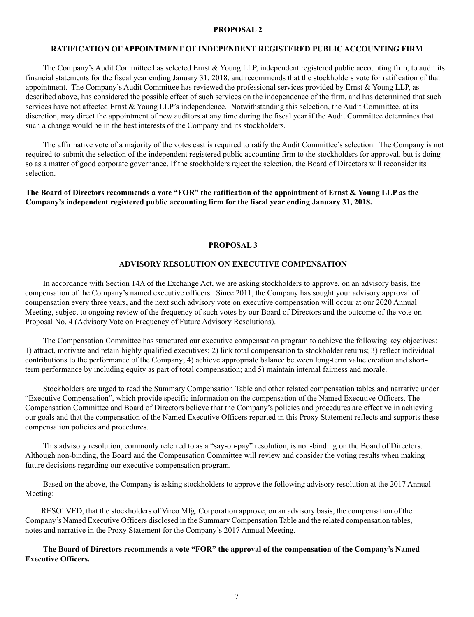### **PROPOSAL 2**

### **RATIFICATION OF APPOINTMENT OF INDEPENDENT REGISTERED PUBLIC ACCOUNTING FIRM**

The Company's Audit Committee has selected Ernst & Young LLP, independent registered public accounting firm, to audit its financial statements for the fiscal year ending January 31, 2018, and recommends that the stockholders vote for ratification of that appointment. The Company's Audit Committee has reviewed the professional services provided by Ernst & Young LLP, as described above, has considered the possible effect of such services on the independence of the firm, and has determined that such services have not affected Ernst & Young LLP's independence. Notwithstanding this selection, the Audit Committee, at its discretion, may direct the appointment of new auditors at any time during the fiscal year if the Audit Committee determines that such a change would be in the best interests of the Company and its stockholders.

The affirmative vote of a majority of the votes cast is required to ratify the Audit Committee's selection. The Company is not required to submit the selection of the independent registered public accounting firm to the stockholders for approval, but is doing so as a matter of good corporate governance. If the stockholders reject the selection, the Board of Directors will reconsider its selection.

**The Board of Directors recommends a vote "FOR" the ratification of the appointment of Ernst & Young LLP as the Company's independent registered public accounting firm for the fiscal year ending January 31, 2018.**

#### **PROPOSAL 3**

### **ADVISORY RESOLUTION ON EXECUTIVE COMPENSATION**

In accordance with Section 14A of the Exchange Act, we are asking stockholders to approve, on an advisory basis, the compensation of the Company's named executive officers. Since 2011, the Company has sought your advisory approval of compensation every three years, and the next such advisory vote on executive compensation will occur at our 2020 Annual Meeting, subject to ongoing review of the frequency of such votes by our Board of Directors and the outcome of the vote on Proposal No. 4 (Advisory Vote on Frequency of Future Advisory Resolutions).

The Compensation Committee has structured our executive compensation program to achieve the following key objectives: 1) attract, motivate and retain highly qualified executives; 2) link total compensation to stockholder returns; 3) reflect individual contributions to the performance of the Company; 4) achieve appropriate balance between long-term value creation and shortterm performance by including equity as part of total compensation; and 5) maintain internal fairness and morale.

Stockholders are urged to read the Summary Compensation Table and other related compensation tables and narrative under "Executive Compensation", which provide specific information on the compensation of the Named Executive Officers. The Compensation Committee and Board of Directors believe that the Company's policies and procedures are effective in achieving our goals and that the compensation of the Named Executive Officers reported in this Proxy Statement reflects and supports these compensation policies and procedures.

This advisory resolution, commonly referred to as a "say-on-pay" resolution, is non-binding on the Board of Directors. Although non-binding, the Board and the Compensation Committee will review and consider the voting results when making future decisions regarding our executive compensation program.

Based on the above, the Company is asking stockholders to approve the following advisory resolution at the 2017 Annual Meeting:

 RESOLVED, that the stockholders of Virco Mfg. Corporation approve, on an advisory basis, the compensation of the Company's Named Executive Officers disclosed in the Summary Compensation Table and the related compensation tables, notes and narrative in the Proxy Statement for the Company's 2017 Annual Meeting.

**The Board of Directors recommends a vote "FOR" the approval of the compensation of the Company's Named Executive Officers.**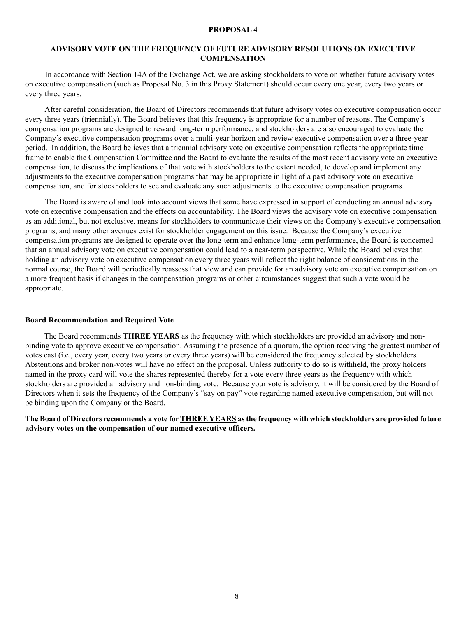### **PROPOSAL 4**

## **ADVISORY VOTE ON THE FREQUENCY OF FUTURE ADVISORY RESOLUTIONS ON EXECUTIVE COMPENSATION**

 In accordance with Section 14A of the Exchange Act, we are asking stockholders to vote on whether future advisory votes on executive compensation (such as Proposal No. 3 in this Proxy Statement) should occur every one year, every two years or every three years.

 After careful consideration, the Board of Directors recommends that future advisory votes on executive compensation occur every three years (triennially). The Board believes that this frequency is appropriate for a number of reasons. The Company's compensation programs are designed to reward long-term performance, and stockholders are also encouraged to evaluate the Company's executive compensation programs over a multi-year horizon and review executive compensation over a three-year period. In addition, the Board believes that a triennial advisory vote on executive compensation reflects the appropriate time frame to enable the Compensation Committee and the Board to evaluate the results of the most recent advisory vote on executive compensation, to discuss the implications of that vote with stockholders to the extent needed, to develop and implement any adjustments to the executive compensation programs that may be appropriate in light of a past advisory vote on executive compensation, and for stockholders to see and evaluate any such adjustments to the executive compensation programs.

 The Board is aware of and took into account views that some have expressed in support of conducting an annual advisory vote on executive compensation and the effects on accountability. The Board views the advisory vote on executive compensation as an additional, but not exclusive, means for stockholders to communicate their views on the Company's executive compensation programs, and many other avenues exist for stockholder engagement on this issue. Because the Company's executive compensation programs are designed to operate over the long-term and enhance long-term performance, the Board is concerned that an annual advisory vote on executive compensation could lead to a near-term perspective. While the Board believes that holding an advisory vote on executive compensation every three years will reflect the right balance of considerations in the normal course, the Board will periodically reassess that view and can provide for an advisory vote on executive compensation on a more frequent basis if changes in the compensation programs or other circumstances suggest that such a vote would be appropriate.

#### **Board Recommendation and Required Vote**

The Board recommends **THREE YEARS** as the frequency with which stockholders are provided an advisory and nonbinding vote to approve executive compensation. Assuming the presence of a quorum, the option receiving the greatest number of votes cast (i.e., every year, every two years or every three years) will be considered the frequency selected by stockholders. Abstentions and broker non-votes will have no effect on the proposal. Unless authority to do so is withheld, the proxy holders named in the proxy card will vote the shares represented thereby for a vote every three years as the frequency with which stockholders are provided an advisory and non-binding vote. Because your vote is advisory, it will be considered by the Board of Directors when it sets the frequency of the Company's "say on pay" vote regarding named executive compensation, but will not be binding upon the Company or the Board.

**The Board of Directors recommends a vote for THREE YEARS as the frequency with which stockholders are provided future advisory votes on the compensation of our named executive officers***.*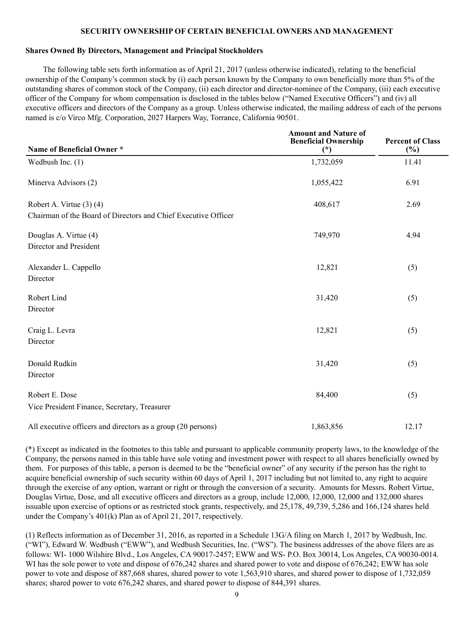### **SECURITY OWNERSHIP OF CERTAIN BENEFICIAL OWNERS AND MANAGEMENT**

### **Shares Owned By Directors, Management and Principal Stockholders**

The following table sets forth information as of April 21, 2017 (unless otherwise indicated), relating to the beneficial ownership of the Company's common stock by (i) each person known by the Company to own beneficially more than 5% of the outstanding shares of common stock of the Company, (ii) each director and director-nominee of the Company, (iii) each executive officer of the Company for whom compensation is disclosed in the tables below ("Named Executive Officers") and (iv) all executive officers and directors of the Company as a group. Unless otherwise indicated, the mailing address of each of the persons named is c/o Virco Mfg. Corporation, 2027 Harpers Way, Torrance, California 90501.

| Name of Beneficial Owner*                                                                      | <b>Amount and Nature of</b><br><b>Beneficial Ownership</b><br>$(*)$ | <b>Percent of Class</b><br>$(\%)$ |
|------------------------------------------------------------------------------------------------|---------------------------------------------------------------------|-----------------------------------|
| Wedbush Inc. $(1)$                                                                             | 1,732,059                                                           | 11.41                             |
| Minerva Advisors (2)                                                                           | 1,055,422                                                           | 6.91                              |
| Robert A. Virtue $(3)$ $(4)$<br>Chairman of the Board of Directors and Chief Executive Officer | 408,617                                                             | 2.69                              |
| Douglas A. Virtue (4)<br>Director and President                                                | 749,970                                                             | 4.94                              |
| Alexander L. Cappello<br>Director                                                              | 12,821                                                              | (5)                               |
| Robert Lind<br>Director                                                                        | 31,420                                                              | (5)                               |
| Craig L. Levra<br>Director                                                                     | 12,821                                                              | (5)                               |
| Donald Rudkin<br>Director                                                                      | 31,420                                                              | (5)                               |
| Robert E. Dose<br>Vice President Finance, Secretary, Treasurer                                 | 84,400                                                              | (5)                               |
| All executive officers and directors as a group (20 persons)                                   | 1,863,856                                                           | 12.17                             |

(\*) Except as indicated in the footnotes to this table and pursuant to applicable community property laws, to the knowledge of the Company, the persons named in this table have sole voting and investment power with respect to all shares beneficially owned by them. For purposes of this table, a person is deemed to be the "beneficial owner" of any security if the person has the right to acquire beneficial ownership of such security within 60 days of April 1, 2017 including but not limited to, any right to acquire through the exercise of any option, warrant or right or through the conversion of a security. Amounts for Messrs. Robert Virtue, Douglas Virtue, Dose, and all executive officers and directors as a group, include 12,000, 12,000, 12,000 and 132,000 shares issuable upon exercise of options or as restricted stock grants, respectively, and 25,178, 49,739, 5,286 and 166,124 shares held under the Company's 401(k) Plan as of April 21, 2017, respectively.

(1) Reflects information as of December 31, 2016, as reported in a Schedule 13G/A filing on March 1, 2017 by Wedbush, Inc. ("WI"), Edward W. Wedbush ("EWW"), and Wedbush Securities, Inc. ("WS"). The business addresses of the above filers are as follows: WI- 1000 Wilshire Blvd., Los Angeles, CA 90017-2457; EWW and WS- P.O. Box 30014, Los Angeles, CA 90030-0014. WI has the sole power to vote and dispose of 676,242 shares and shared power to vote and dispose of 676,242; EWW has sole power to vote and dispose of 887,668 shares, shared power to vote 1,563,910 shares, and shared power to dispose of 1,732,059 shares; shared power to vote 676,242 shares, and shared power to dispose of 844,391 shares.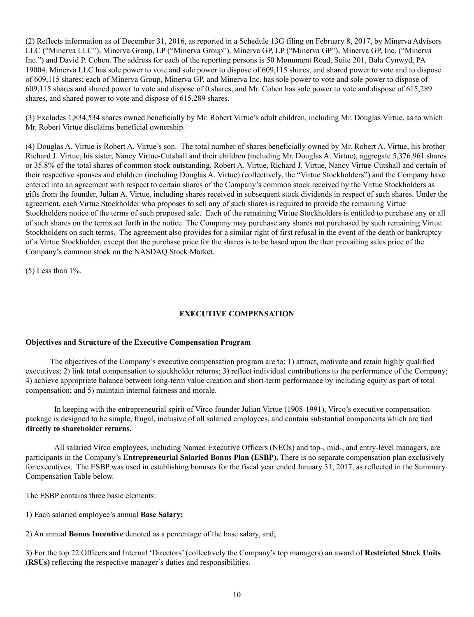(2) Reflects information as of December 31, 2016, as reported in a Schedule 13G filing on February 8, 2017, by Minerva Advisors LLC ("Minerva LLC"), Minerva Group, LP ("Minerva Group"), Minerva GP, LP ("Minerva GP"), Minerva GP, Inc. ("Minerva Inc.") and David P. Cohen. The address for each of the reporting persons is 50 Monument Road, Suite 201, Bala Cynwyd, PA 19004. Minerva LLC has sole power to vote and sole power to dispose of 609,115 shares, and shared power to vote and to dispose of 609,115 shares; each of Minerva Group, Minerva GP, and Minerva Inc. has sole power to vote and sole power to dispose of 609,115 shares and shared power to vote and dispose of 0 shares, and Mr. Cohen has sole power to vote and dispose of 615,289 shares, and shared power to vote and dispose of 615,289 shares.

(3) Excludes 1,834,534 shares owned beneficially by Mr. Robert Virtue's adult children, including Mr. Douglas Virtue, as to which Mr. Robert Virtue disclaims beneficial ownership.

(4) Douglas A. Virtue is Robert A. Virtue's son. The total number of shares beneficially owned by Mr. Robert A. Virtue, his brother Richard J. Virtue, his sister, Nancy Virtue-Cutshall and their children (including Mr. Douglas A. Virtue), aggregate 5,376,961 shares or 35.8% of the total shares of common stock outstanding. Robert A. Virtue, Richard J. Virtue, Nancy Virtue-Cutshall and certain of their respective spouses and children (including Douglas A. Virtue) (collectively, the "Virtue Stockholders") and the Company have entered into an agreement with respect to certain shares of the Company's common stock received by the Virtue Stockholders as gifts from the founder, Julian A. Virtue, including shares received in subsequent stock dividends in respect of such shares. Under the agreement, each Virtue Stockholder who proposes to sell any of such shares is required to provide the remaining Virtue Stockholders notice of the terms of such proposed sale. Each of the remaining Virtue Stockholders is entitled to purchase any or all of such shares on the terms set forth in the notice. The Company may purchase any shares not purchased by such remaining Virtue Stockholders on such terms. The agreement also provides for a similar right of first refusal in the event of the death or bankruptcy of a Virtue Stockholder, except that the purchase price for the shares is to be based upon the then prevailing sales price of the Company's common stock on the NASDAQ Stock Market.

(5) Less than 1%.

# **EXECUTIVE COMPENSATION**

# **Objectives and Structure of the Executive Compensation Program**

The objectives of the Company's executive compensation program are to: 1) attract, motivate and retain highly qualified executives; 2) link total compensation to stockholder returns; 3) reflect individual contributions to the performance of the Company; 4) achieve appropriate balance between long-term value creation and short-term performance by including equity as part of total compensation; and 5) maintain internal fairness and morale.

In keeping with the entrepreneurial spirit of Virco founder Julian Virtue (1908-1991), Virco's executive compensation package is designed to be simple, frugal, inclusive of all salaried employees, and contain substantial components which are tied **directly to shareholder returns.**

All salaried Virco employees, including Named Executive Officers (NEOs) and top-, mid-, and entry-level managers, are participants in the Company's **Entrepreneurial Salaried Bonus Plan (ESBP).** There is no separate compensation plan exclusively for executives. The ESBP was used in establishing bonuses for the fiscal year ended January 31, 2017, as reflected in the Summary Compensation Table below.

The ESBP contains three basic elements:

1) Each salaried employee's annual **Base Salary;**

2) An annual **Bonus Incentive** denoted as a percentage of the base salary, and;

3) For the top 22 Officers and Internal 'Directors' (collectively the Company's top managers) an award of **Restricted Stock Units (RSUs)** reflecting the respective manager's duties and responsibilities.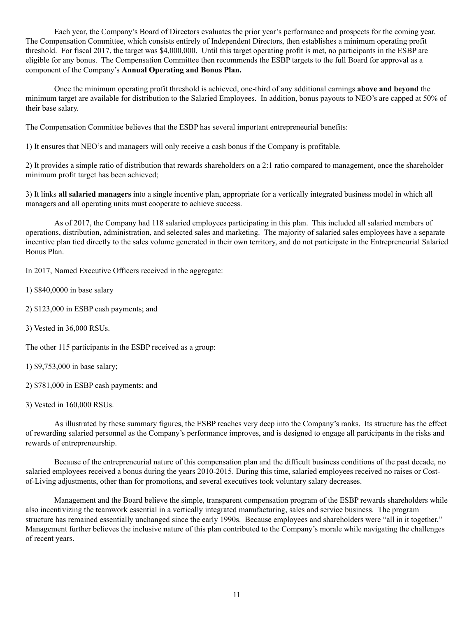Each year, the Company's Board of Directors evaluates the prior year's performance and prospects for the coming year. The Compensation Committee, which consists entirely of Independent Directors, then establishes a minimum operating profit threshold. For fiscal 2017, the target was \$4,000,000. Until this target operating profit is met, no participants in the ESBP are eligible for any bonus. The Compensation Committee then recommends the ESBP targets to the full Board for approval as a component of the Company's **Annual Operating and Bonus Plan.**

Once the minimum operating profit threshold is achieved, one-third of any additional earnings **above and beyond** the minimum target are available for distribution to the Salaried Employees. In addition, bonus payouts to NEO's are capped at 50% of their base salary.

The Compensation Committee believes that the ESBP has several important entrepreneurial benefits:

1) It ensures that NEO's and managers will only receive a cash bonus if the Company is profitable.

2) It provides a simple ratio of distribution that rewards shareholders on a 2:1 ratio compared to management, once the shareholder minimum profit target has been achieved;

3) It links **all salaried managers** into a single incentive plan, appropriate for a vertically integrated business model in which all managers and all operating units must cooperate to achieve success.

As of 2017, the Company had 118 salaried employees participating in this plan. This included all salaried members of operations, distribution, administration, and selected sales and marketing. The majority of salaried sales employees have a separate incentive plan tied directly to the sales volume generated in their own territory, and do not participate in the Entrepreneurial Salaried Bonus Plan.

In 2017, Named Executive Officers received in the aggregate:

- 1) \$840,0000 in base salary
- 2) \$123,000 in ESBP cash payments; and
- 3) Vested in 36,000 RSUs.

The other 115 participants in the ESBP received as a group:

- 1) \$9,753,000 in base salary;
- 2) \$781,000 in ESBP cash payments; and
- 3) Vested in 160,000 RSUs.

As illustrated by these summary figures, the ESBP reaches very deep into the Company's ranks. Its structure has the effect of rewarding salaried personnel as the Company's performance improves, and is designed to engage all participants in the risks and rewards of entrepreneurship.

Because of the entrepreneurial nature of this compensation plan and the difficult business conditions of the past decade, no salaried employees received a bonus during the years 2010-2015. During this time, salaried employees received no raises or Costof-Living adjustments, other than for promotions, and several executives took voluntary salary decreases.

Management and the Board believe the simple, transparent compensation program of the ESBP rewards shareholders while also incentivizing the teamwork essential in a vertically integrated manufacturing, sales and service business. The program structure has remained essentially unchanged since the early 1990s. Because employees and shareholders were "all in it together," Management further believes the inclusive nature of this plan contributed to the Company's morale while navigating the challenges of recent years.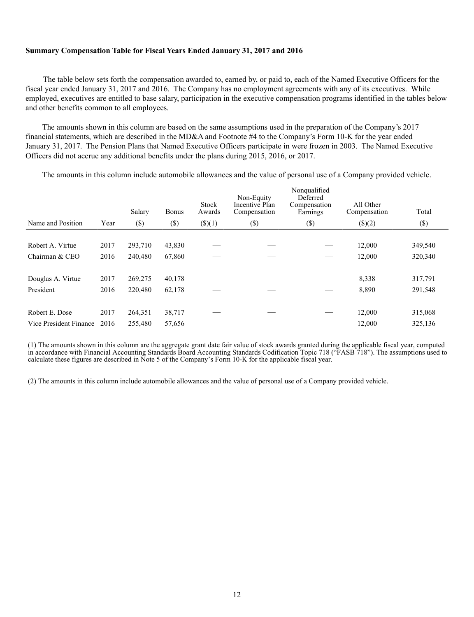### **Summary Compensation Table for Fiscal Years Ended January 31, 2017 and 2016**

The table below sets forth the compensation awarded to, earned by, or paid to, each of the Named Executive Officers for the fiscal year ended January 31, 2017 and 2016. The Company has no employment agreements with any of its executives. While employed, executives are entitled to base salary, participation in the executive compensation programs identified in the tables below and other benefits common to all employees.

The amounts shown in this column are based on the same assumptions used in the preparation of the Company's 2017 financial statements, which are described in the MD&A and Footnote #4 to the Company's Form 10-K for the year ended January 31, 2017. The Pension Plans that Named Executive Officers participate in were frozen in 2003. The Named Executive Officers did not accrue any additional benefits under the plans during 2015, 2016, or 2017.

The amounts in this column include automobile allowances and the value of personal use of a Company provided vehicle.

| Year | Salary  | <b>Bonus</b>      | Stock<br>Awards  | Non-Equity<br>Incentive Plan<br>Compensation | Nonqualified<br>Deferred<br>Compensation<br>Earnings | All Other<br>Compensation | Total<br>$(\$\)$        |
|------|---------|-------------------|------------------|----------------------------------------------|------------------------------------------------------|---------------------------|-------------------------|
|      |         |                   |                  |                                              |                                                      |                           |                         |
| 2017 | 293,710 | 43,830            |                  |                                              |                                                      | 12,000                    | 349,540                 |
| 2016 | 240,480 | 67,860            |                  |                                              |                                                      | 12,000                    | 320,340                 |
|      |         |                   |                  |                                              |                                                      |                           | 317,791                 |
| 2016 | 220,480 | 62,178            |                  |                                              |                                                      | 8,890                     | 291,548                 |
|      |         |                   |                  |                                              |                                                      |                           |                         |
| 2017 | 264,351 | 38,717            |                  |                                              |                                                      | 12,000                    | 315,068                 |
| 2016 | 255,480 | 57,656            |                  |                                              |                                                      | 12,000                    | 325,136                 |
|      | 2017    | $(\$)$<br>269,275 | $(\$)$<br>40,178 | $($ \$ $)(1)$                                | $(\$)$                                               | $(\$)$                    | $($ (\$) $(2)$<br>8,338 |

(1) The amounts shown in this column are the aggregate grant date fair value of stock awards granted during the applicable fiscal year, computed in accordance with Financial Accounting Standards Board Accounting Standards Codification Topic 718 ("FASB 718"). The assumptions used to calculate these figures are described in Note 5 of the Company's Form 10-K for the applicable fiscal year.

(2) The amounts in this column include automobile allowances and the value of personal use of a Company provided vehicle.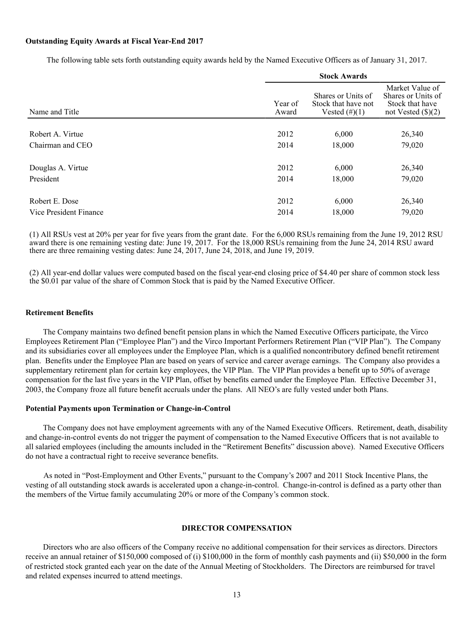#### **Outstanding Equity Awards at Fiscal Year-End 2017**

The following table sets forth outstanding equity awards held by the Named Executive Officers as of January 31, 2017.

|                        | <b>Stock Awards</b> |                                                               |                                                                                  |  |  |
|------------------------|---------------------|---------------------------------------------------------------|----------------------------------------------------------------------------------|--|--|
| Name and Title         | Year of<br>Award    | Shares or Units of<br>Stock that have not<br>Vested $(\#)(1)$ | Market Value of<br>Shares or Units of<br>Stock that have<br>not Vested $(\$)(2)$ |  |  |
|                        |                     |                                                               |                                                                                  |  |  |
| Robert A. Virtue       | 2012                | 6,000                                                         | 26,340                                                                           |  |  |
| Chairman and CEO       | 2014                | 18,000                                                        | 79,020                                                                           |  |  |
| Douglas A. Virtue      | 2012                | 6,000                                                         | 26,340                                                                           |  |  |
| President              | 2014                | 18,000                                                        | 79,020                                                                           |  |  |
| Robert E. Dose         | 2012                | 6,000                                                         | 26,340                                                                           |  |  |
| Vice President Finance | 2014                |                                                               | 79,020                                                                           |  |  |
|                        |                     | 18,000                                                        |                                                                                  |  |  |

(1) All RSUs vest at 20% per year for five years from the grant date. For the 6,000 RSUs remaining from the June 19, 2012 RSU award there is one remaining vesting date: June 19, 2017. For the 18,000 RSUs remaining from the June 24, 2014 RSU award there are three remaining vesting dates: June 24, 2017, June 24, 2018, and June 19, 2019.

(2) All year-end dollar values were computed based on the fiscal year-end closing price of \$4.40 per share of common stock less the \$0.01 par value of the share of Common Stock that is paid by the Named Executive Officer.

### **Retirement Benefits**

The Company maintains two defined benefit pension plans in which the Named Executive Officers participate, the Virco Employees Retirement Plan ("Employee Plan") and the Virco Important Performers Retirement Plan ("VIP Plan"). The Company and its subsidiaries cover all employees under the Employee Plan, which is a qualified noncontributory defined benefit retirement plan. Benefits under the Employee Plan are based on years of service and career average earnings. The Company also provides a supplementary retirement plan for certain key employees, the VIP Plan. The VIP Plan provides a benefit up to 50% of average compensation for the last five years in the VIP Plan, offset by benefits earned under the Employee Plan. Effective December 31, 2003, the Company froze all future benefit accruals under the plans. All NEO's are fully vested under both Plans.

#### **Potential Payments upon Termination or Change-in-Control**

The Company does not have employment agreements with any of the Named Executive Officers. Retirement, death, disability and change-in-control events do not trigger the payment of compensation to the Named Executive Officers that is not available to all salaried employees (including the amounts included in the "Retirement Benefits" discussion above). Named Executive Officers do not have a contractual right to receive severance benefits.

As noted in "Post-Employment and Other Events," pursuant to the Company's 2007 and 2011 Stock Incentive Plans, the vesting of all outstanding stock awards is accelerated upon a change-in-control. Change-in-control is defined as a party other than the members of the Virtue family accumulating 20% or more of the Company's common stock.

#### **DIRECTOR COMPENSATION**

Directors who are also officers of the Company receive no additional compensation for their services as directors. Directors receive an annual retainer of \$150,000 composed of (i) \$100,000 in the form of monthly cash payments and (ii) \$50,000 in the form of restricted stock granted each year on the date of the Annual Meeting of Stockholders. The Directors are reimbursed for travel and related expenses incurred to attend meetings.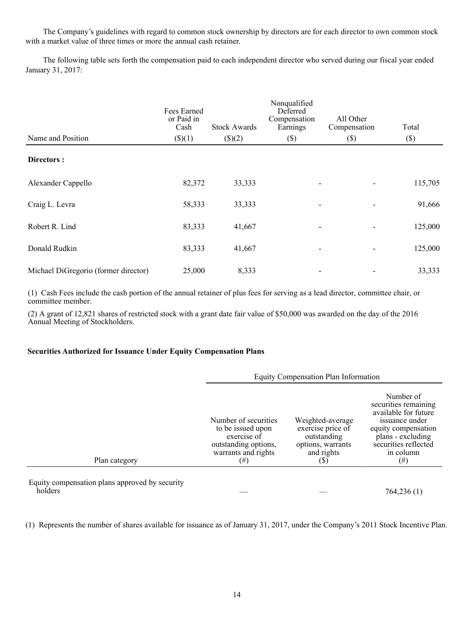The Company's guidelines with regard to common stock ownership by directors are for each director to own common stock with a market value of three times or more the annual cash retainer.

The following table sets forth the compensation paid to each independent director who served during our fiscal year ended January 31, 2017:

| Name and Position                    | Fees Earned<br>or Paid in<br>Cash<br>\$)(1) | <b>Stock Awards</b><br>$($ )(2) | Nonqualified<br>Deferred<br>Compensation<br>Earnings<br>$(\$\)$ | All Other<br>Compensation<br>$(\$\)$ | Total<br>$(\$\)$ |
|--------------------------------------|---------------------------------------------|---------------------------------|-----------------------------------------------------------------|--------------------------------------|------------------|
| Directors :                          |                                             |                                 |                                                                 |                                      |                  |
| Alexander Cappello                   | 82,372                                      | 33,333                          |                                                                 |                                      | 115,705          |
| Craig L. Levra                       | 58,333                                      | 33,333                          |                                                                 | $\overline{\phantom{a}}$             | 91,666           |
| Robert R. Lind                       | 83,333                                      | 41,667                          |                                                                 | $\blacksquare$                       | 125,000          |
| Donald Rudkin                        | 83,333                                      | 41,667                          |                                                                 | $\blacksquare$                       | 125,000          |
| Michael DiGregorio (former director) | 25,000                                      | 8,333                           |                                                                 |                                      | 33,333           |

(1) Cash Fees include the cash portion of the annual retainer of plus fees for serving as a lead director, committee chair, or committee member.

(2) A grant of 12,821 shares of restricted stock with a grant date fair value of \$50,000 was awarded on the day of the 2016 Annual Meeting of Stockholders.

### **Securities Authorized for Issuance Under Equity Compensation Plans**

|                                                           | Equity Compensation Plan Information                                                                           |                                                                                                |                                                                                                                                                                          |  |
|-----------------------------------------------------------|----------------------------------------------------------------------------------------------------------------|------------------------------------------------------------------------------------------------|--------------------------------------------------------------------------------------------------------------------------------------------------------------------------|--|
| Plan category                                             | Number of securities<br>to be issued upon<br>exercise of<br>outstanding options,<br>warrants and rights<br>(#) | Weighted-average<br>exercise price of<br>outstanding<br>options, warrants<br>and rights<br>(S) | Number of<br>securities remaining<br>available for future<br>issuance under<br>equity compensation<br>plans - excluding<br>securities reflected<br>in column<br>$^{(#)}$ |  |
| Equity compensation plans approved by security<br>holders |                                                                                                                |                                                                                                |                                                                                                                                                                          |  |
|                                                           |                                                                                                                |                                                                                                | 764,236 (1)                                                                                                                                                              |  |

(1) Represents the number of shares available for issuance as of January 31, 2017, under the Company's 2011 Stock Incentive Plan.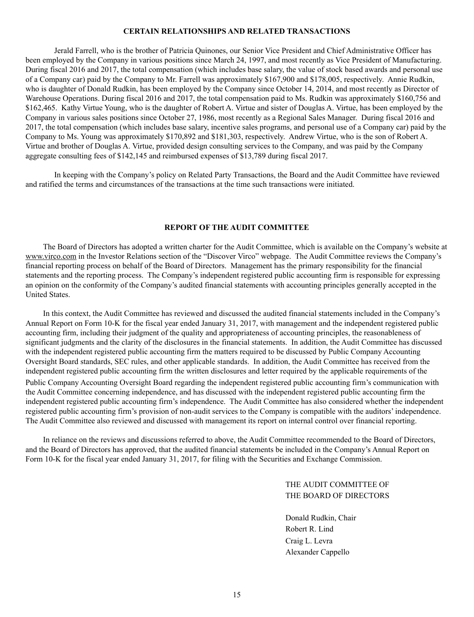### **CERTAIN RELATIONSHIPS AND RELATED TRANSACTIONS**

 Jerald Farrell, who is the brother of Patricia Quinones, our Senior Vice President and Chief Administrative Officer has been employed by the Company in various positions since March 24, 1997, and most recently as Vice President of Manufacturing. During fiscal 2016 and 2017, the total compensation (which includes base salary, the value of stock based awards and personal use of a Company car) paid by the Company to Mr. Farrell was approximately \$167,900 and \$178,005, respectively. Annie Rudkin, who is daughter of Donald Rudkin, has been employed by the Company since October 14, 2014, and most recently as Director of Warehouse Operations. During fiscal 2016 and 2017, the total compensation paid to Ms. Rudkin was approximately \$160,756 and \$162,465. Kathy Virtue Young, who is the daughter of Robert A. Virtue and sister of Douglas A. Virtue, has been employed by the Company in various sales positions since October 27, 1986, most recently as a Regional Sales Manager. During fiscal 2016 and 2017, the total compensation (which includes base salary, incentive sales programs, and personal use of a Company car) paid by the Company to Ms. Young was approximately \$170,892 and \$181,303, respectively. Andrew Virtue, who is the son of Robert A. Virtue and brother of Douglas A. Virtue, provided design consulting services to the Company, and was paid by the Company aggregate consulting fees of \$142,145 and reimbursed expenses of \$13,789 during fiscal 2017.

 In keeping with the Company's policy on Related Party Transactions, the Board and the Audit Committee have reviewed and ratified the terms and circumstances of the transactions at the time such transactions were initiated.

### **REPORT OF THE AUDIT COMMITTEE**

The Board of Directors has adopted a written charter for the Audit Committee, which is available on the Company's website at www.virco.com in the Investor Relations section of the "Discover Virco" webpage. The Audit Committee reviews the Company's financial reporting process on behalf of the Board of Directors. Management has the primary responsibility for the financial statements and the reporting process. The Company's independent registered public accounting firm is responsible for expressing an opinion on the conformity of the Company's audited financial statements with accounting principles generally accepted in the United States.

In this context, the Audit Committee has reviewed and discussed the audited financial statements included in the Company's Annual Report on Form 10-K for the fiscal year ended January 31, 2017, with management and the independent registered public accounting firm, including their judgment of the quality and appropriateness of accounting principles, the reasonableness of significant judgments and the clarity of the disclosures in the financial statements. In addition, the Audit Committee has discussed with the independent registered public accounting firm the matters required to be discussed by Public Company Accounting Oversight Board standards, SEC rules, and other applicable standards. In addition, the Audit Committee has received from the independent registered public accounting firm the written disclosures and letter required by the applicable requirements of the Public Company Accounting Oversight Board regarding the independent registered public accounting firm's communication with the Audit Committee concerning independence, and has discussed with the independent registered public accounting firm the independent registered public accounting firm's independence. The Audit Committee has also considered whether the independent registered public accounting firm's provision of non-audit services to the Company is compatible with the auditors' independence. The Audit Committee also reviewed and discussed with management its report on internal control over financial reporting.

In reliance on the reviews and discussions referred to above, the Audit Committee recommended to the Board of Directors, and the Board of Directors has approved, that the audited financial statements be included in the Company's Annual Report on Form 10-K for the fiscal year ended January 31, 2017, for filing with the Securities and Exchange Commission.

> THE AUDIT COMMITTEE OF THE BOARD OF DIRECTORS

Donald Rudkin, Chair Robert R. Lind Craig L. Levra Alexander Cappello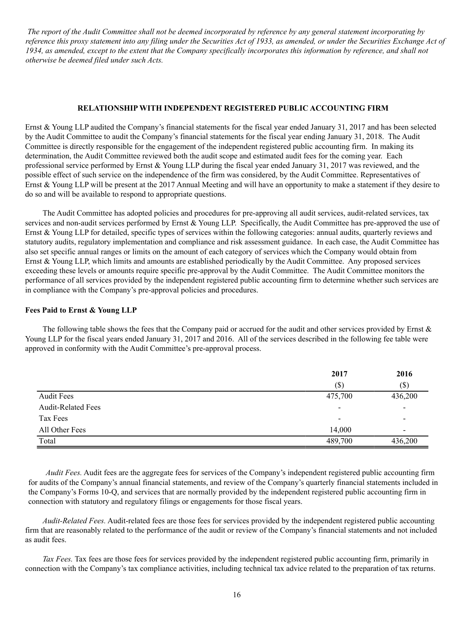*The report of the Audit Committee shall not be deemed incorporated by reference by any general statement incorporating by reference this proxy statement into any filing under the Securities Act of 1933, as amended, or under the Securities Exchange Act of 1934, as amended, except to the extent that the Company specifically incorporates this information by reference, and shall not otherwise be deemed filed under such Acts.*

### **RELATIONSHIP WITH INDEPENDENT REGISTERED PUBLIC ACCOUNTING FIRM**

Ernst & Young LLP audited the Company's financial statements for the fiscal year ended January 31, 2017 and has been selected by the Audit Committee to audit the Company's financial statements for the fiscal year ending January 31, 2018. The Audit Committee is directly responsible for the engagement of the independent registered public accounting firm. In making its determination, the Audit Committee reviewed both the audit scope and estimated audit fees for the coming year. Each professional service performed by Ernst & Young LLP during the fiscal year ended January 31, 2017 was reviewed, and the possible effect of such service on the independence of the firm was considered, by the Audit Committee. Representatives of Ernst & Young LLP will be present at the 2017 Annual Meeting and will have an opportunity to make a statement if they desire to do so and will be available to respond to appropriate questions.

The Audit Committee has adopted policies and procedures for pre-approving all audit services, audit-related services, tax services and non-audit services performed by Ernst & Young LLP. Specifically, the Audit Committee has pre-approved the use of Ernst & Young LLP for detailed, specific types of services within the following categories: annual audits, quarterly reviews and statutory audits, regulatory implementation and compliance and risk assessment guidance. In each case, the Audit Committee has also set specific annual ranges or limits on the amount of each category of services which the Company would obtain from Ernst  $&$  Young LLP, which limits and amounts are established periodically by the Audit Committee. Any proposed services exceeding these levels or amounts require specific pre-approval by the Audit Committee. The Audit Committee monitors the performance of all services provided by the independent registered public accounting firm to determine whether such services are in compliance with the Company's pre-approval policies and procedures.

### **Fees Paid to Ernst & Young LLP**

The following table shows the fees that the Company paid or accrued for the audit and other services provided by Ernst  $\&$ Young LLP for the fiscal years ended January 31, 2017 and 2016. All of the services described in the following fee table were approved in conformity with the Audit Committee's pre-approval process.

|                           | 2017                     | 2016                     |
|---------------------------|--------------------------|--------------------------|
|                           | $(\$)$                   | $(\$)$                   |
| <b>Audit Fees</b>         | 475,700                  | 436,200                  |
| <b>Audit-Related Fees</b> | $\overline{\phantom{a}}$ |                          |
| Tax Fees                  |                          | $\overline{\phantom{0}}$ |
| All Other Fees            | 14.000                   | $\overline{\phantom{a}}$ |
| Total                     | 489,700                  | 436,200                  |

*Audit Fees.* Audit fees are the aggregate fees for services of the Company's independent registered public accounting firm for audits of the Company's annual financial statements, and review of the Company's quarterly financial statements included in the Company's Forms 10-Q, and services that are normally provided by the independent registered public accounting firm in connection with statutory and regulatory filings or engagements for those fiscal years.

*Audit-Related Fees.* Audit-related fees are those fees for services provided by the independent registered public accounting firm that are reasonably related to the performance of the audit or review of the Company's financial statements and not included as audit fees.

*Tax Fees.* Tax fees are those fees for services provided by the independent registered public accounting firm, primarily in connection with the Company's tax compliance activities, including technical tax advice related to the preparation of tax returns.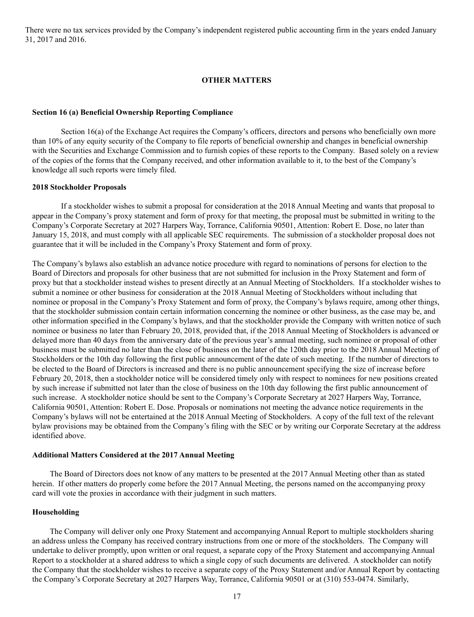There were no tax services provided by the Company's independent registered public accounting firm in the years ended January 31, 2017 and 2016.

### **OTHER MATTERS**

#### **Section 16 (a) Beneficial Ownership Reporting Compliance**

Section 16(a) of the Exchange Act requires the Company's officers, directors and persons who beneficially own more than 10% of any equity security of the Company to file reports of beneficial ownership and changes in beneficial ownership with the Securities and Exchange Commission and to furnish copies of these reports to the Company. Based solely on a review of the copies of the forms that the Company received, and other information available to it, to the best of the Company's knowledge all such reports were timely filed.

#### **2018 Stockholder Proposals**

If a stockholder wishes to submit a proposal for consideration at the 2018 Annual Meeting and wants that proposal to appear in the Company's proxy statement and form of proxy for that meeting, the proposal must be submitted in writing to the Company's Corporate Secretary at 2027 Harpers Way, Torrance, California 90501, Attention: Robert E. Dose, no later than January 15, 2018, and must comply with all applicable SEC requirements. The submission of a stockholder proposal does not guarantee that it will be included in the Company's Proxy Statement and form of proxy.

The Company's bylaws also establish an advance notice procedure with regard to nominations of persons for election to the Board of Directors and proposals for other business that are not submitted for inclusion in the Proxy Statement and form of proxy but that a stockholder instead wishes to present directly at an Annual Meeting of Stockholders. If a stockholder wishes to submit a nominee or other business for consideration at the 2018 Annual Meeting of Stockholders without including that nominee or proposal in the Company's Proxy Statement and form of proxy, the Company's bylaws require, among other things, that the stockholder submission contain certain information concerning the nominee or other business, as the case may be, and other information specified in the Company's bylaws, and that the stockholder provide the Company with written notice of such nominee or business no later than February 20, 2018, provided that, if the 2018 Annual Meeting of Stockholders is advanced or delayed more than 40 days from the anniversary date of the previous year's annual meeting, such nominee or proposal of other business must be submitted no later than the close of business on the later of the 120th day prior to the 2018 Annual Meeting of Stockholders or the 10th day following the first public announcement of the date of such meeting. If the number of directors to be elected to the Board of Directors is increased and there is no public announcement specifying the size of increase before February 20, 2018, then a stockholder notice will be considered timely only with respect to nominees for new positions created by such increase if submitted not later than the close of business on the 10th day following the first public announcement of such increase. A stockholder notice should be sent to the Company's Corporate Secretary at 2027 Harpers Way, Torrance, California 90501, Attention: Robert E. Dose. Proposals or nominations not meeting the advance notice requirements in the Company's bylaws will not be entertained at the 2018 Annual Meeting of Stockholders. A copy of the full text of the relevant bylaw provisions may be obtained from the Company's filing with the SEC or by writing our Corporate Secretary at the address identified above.

#### **Additional Matters Considered at the 2017 Annual Meeting**

The Board of Directors does not know of any matters to be presented at the 2017 Annual Meeting other than as stated herein. If other matters do properly come before the 2017 Annual Meeting, the persons named on the accompanying proxy card will vote the proxies in accordance with their judgment in such matters.

### **Householding**

The Company will deliver only one Proxy Statement and accompanying Annual Report to multiple stockholders sharing an address unless the Company has received contrary instructions from one or more of the stockholders. The Company will undertake to deliver promptly, upon written or oral request, a separate copy of the Proxy Statement and accompanying Annual Report to a stockholder at a shared address to which a single copy of such documents are delivered. A stockholder can notify the Company that the stockholder wishes to receive a separate copy of the Proxy Statement and/or Annual Report by contacting the Company's Corporate Secretary at 2027 Harpers Way, Torrance, California 90501 or at (310) 553-0474. Similarly,